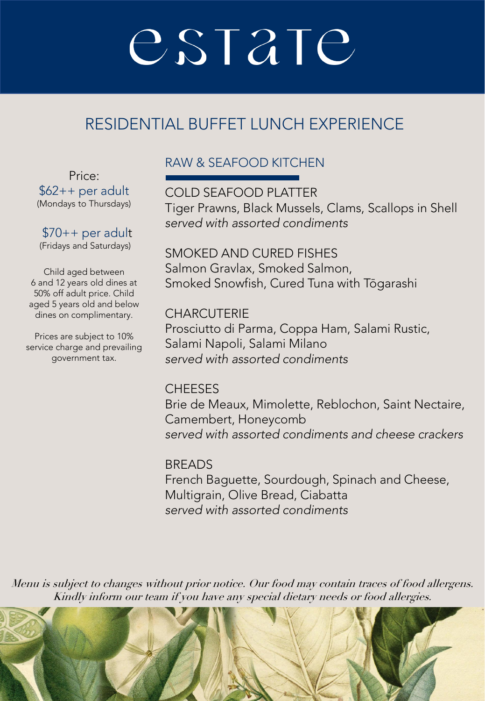### RESIDENTIAL BUFFET LUNCH EXPERIENCE

Price: \$62++ per adult (Mondays to Thursdays)

\$70++ per adult (Fridays and Saturdays)

Child aged between 6 and 12 years old dines at 50% off adult price. Child aged 5 years old and below dines on complimentary.

Prices are subject to 10% service charge and prevailing government tax.

#### RAW & SEAFOOD KITCHEN

COLD SEAFOOD PLATTER Tiger Prawns, Black Mussels, Clams, Scallops in Shell *served with assorted condiments*

SMOKED AND CURED FISHES Salmon Gravlax, Smoked Salmon, Smoked Snowfish, Cured Tuna with Tōgarashi

#### **CHARCUTERIE**

Prosciutto di Parma, Coppa Ham, Salami Rustic, Salami Napoli, Salami Milano *served with assorted condiments*

#### **CHEESES**

Brie de Meaux, Mimolette, Reblochon, Saint Nectaire, Camembert, Honeycomb *served with assorted condiments and cheese crackers*

BREADS French Baguette, Sourdough, Spinach and Cheese, Multigrain, Olive Bread, Ciabatta *served with assorted condiments*

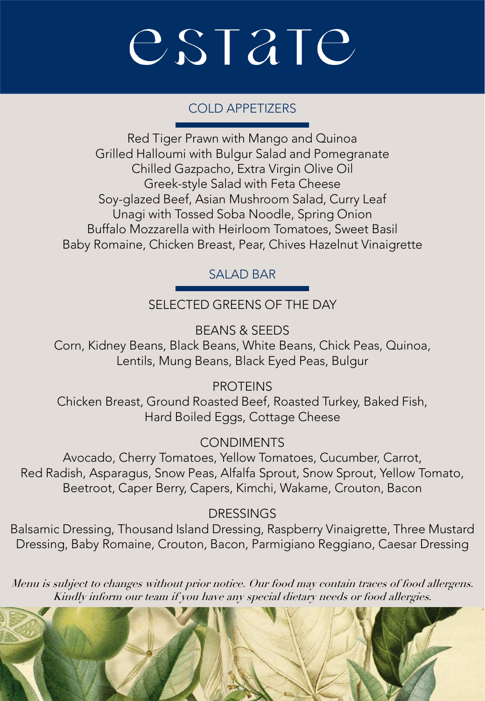#### COLD APPETIZERS

Red Tiger Prawn with Mango and Quinoa Grilled Halloumi with Bulgur Salad and Pomegranate Chilled Gazpacho, Extra Virgin Olive Oil Greek-style Salad with Feta Cheese Soy-glazed Beef, Asian Mushroom Salad, Curry Leaf Unagi with Tossed Soba Noodle, Spring Onion Buffalo Mozzarella with Heirloom Tomatoes, Sweet Basil Baby Romaine, Chicken Breast, Pear, Chives Hazelnut Vinaigrette

#### SALAD BAR

SELECTED GREENS OF THE DAY

BEANS & SEEDS Corn, Kidney Beans, Black Beans, White Beans, Chick Peas, Quinoa, Lentils, Mung Beans, Black Eyed Peas, Bulgur

PROTEINS

Chicken Breast, Ground Roasted Beef, Roasted Turkey, Baked Fish, Hard Boiled Eggs, Cottage Cheese

### **CONDIMENTS**

Avocado, Cherry Tomatoes, Yellow Tomatoes, Cucumber, Carrot, Red Radish, Asparagus, Snow Peas, Alfalfa Sprout, Snow Sprout, Yellow Tomato, Beetroot, Caper Berry, Capers, Kimchi, Wakame, Crouton, Bacon

#### DRESSINGS

Balsamic Dressing, Thousand Island Dressing, Raspberry Vinaigrette, Three Mustard Dressing, Baby Romaine, Crouton, Bacon, Parmigiano Reggiano, Caesar Dressing

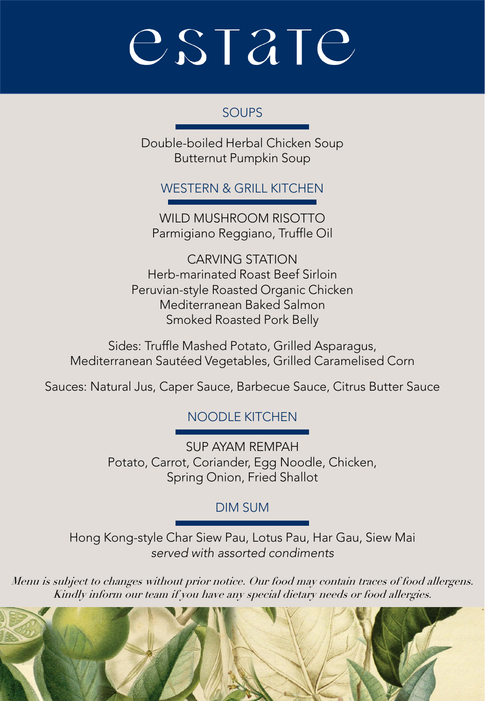#### SOUPS

Double-boiled Herbal Chicken Soup Butternut Pumpkin Soup

WESTERN & GRILL KITCHEN

WILD MUSHROOM RISOTTO Parmigiano Reggiano, Truffle Oil

CARVING STATION Herb-marinated Roast Beef Sirloin Peruvian-style Roasted Organic Chicken Mediterranean Baked Salmon Smoked Roasted Pork Belly

Sides: Truffle Mashed Potato, Grilled Asparagus, Mediterranean Sautéed Vegetables, Grilled Caramelised Corn

Sauces: Natural Jus, Caper Sauce, Barbecue Sauce, Citrus Butter Sauce

### NOODLE KITCHEN

SUP AYAM REMPAH Potato, Carrot, Coriander, Egg Noodle, Chicken, Spring Onion, Fried Shallot

### DIM SUM

Hong Kong-style Char Siew Pau, Lotus Pau, Har Gau, Siew Mai *served with assorted condiments*

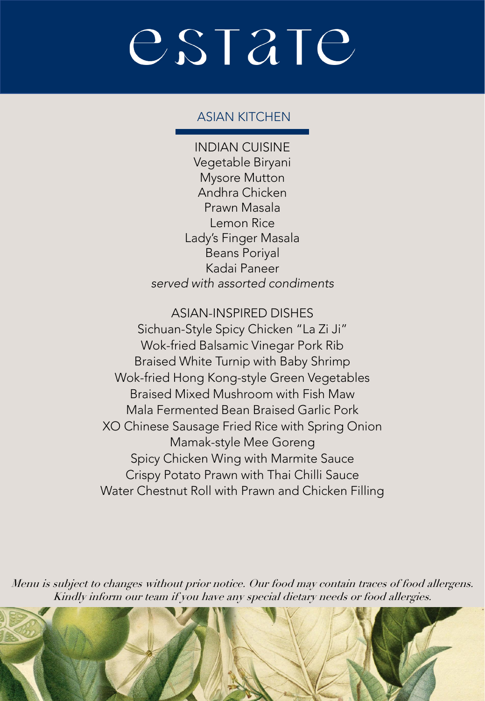#### ASIAN KITCHEN

INDIAN CUISINE Vegetable Biryani Mysore Mutton Andhra Chicken Prawn Masala Lemon Rice Lady's Finger Masala Beans Poriyal Kadai Paneer *served with assorted condiments*

ASIAN-INSPIRED DISHES Sichuan-Style Spicy Chicken "La Zi Ji" Wok-fried Balsamic Vinegar Pork Rib Braised White Turnip with Baby Shrimp Wok-fried Hong Kong-style Green Vegetables Braised Mixed Mushroom with Fish Maw Mala Fermented Bean Braised Garlic Pork XO Chinese Sausage Fried Rice with Spring Onion Mamak-style Mee Goreng Spicy Chicken Wing with Marmite Sauce Crispy Potato Prawn with Thai Chilli Sauce Water Chestnut Roll with Prawn and Chicken Filling

Menu is subject to changes without prior notice. Our food may contain traces of food allergens. Kindly inform our team if you have any special dietary needs or food allergies.